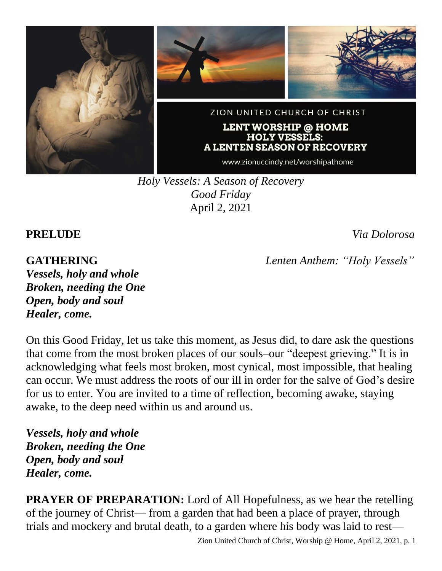

*Holy Vessels: A Season of Recovery Good Friday* April 2, 2021

**PRELUDE** *Via Dolorosa*

# **GATHERING** *Lenten Anthem: "Holy Vessels"*

*Vessels, holy and whole Broken, needing the One Open, body and soul Healer, come.*

On this Good Friday, let us take this moment, as Jesus did, to dare ask the questions that come from the most broken places of our souls–our "deepest grieving." It is in acknowledging what feels most broken, most cynical, most impossible, that healing can occur. We must address the roots of our ill in order for the salve of God's desire for us to enter. You are invited to a time of reflection, becoming awake, staying awake, to the deep need within us and around us.

*Vessels, holy and whole Broken, needing the One Open, body and soul Healer, come.*

**PRAYER OF PREPARATION:** Lord of All Hopefulness, as we hear the retelling of the journey of Christ— from a garden that had been a place of prayer, through trials and mockery and brutal death, to a garden where his body was laid to rest—

Zion United Church of Christ, Worship @ Home, April 2, 2021, p. 1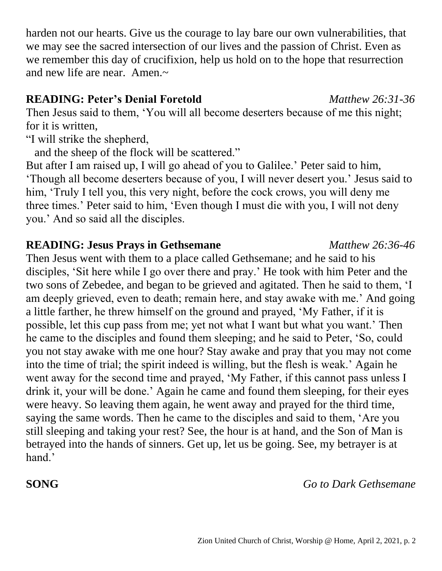harden not our hearts. Give us the courage to lay bare our own vulnerabilities, that we may see the sacred intersection of our lives and the passion of Christ. Even as we remember this day of crucifixion, help us hold on to the hope that resurrection and new life are near. Amen. $\sim$ 

# **READING: Peter's Denial Foretold** *Matthew 26:31-36*

Then Jesus said to them, 'You will all become deserters because of me this night; for it is written,

"I will strike the shepherd,

and the sheep of the flock will be scattered."

But after I am raised up, I will go ahead of you to Galilee.' Peter said to him, 'Though all become deserters because of you, I will never desert you.' Jesus said to him, 'Truly I tell you, this very night, before the cock crows, you will deny me three times.' Peter said to him, 'Even though I must die with you, I will not deny you.' And so said all the disciples.

# **READING: Jesus Prays in Gethsemane** *Matthew 26:36-46*

Then Jesus went with them to a place called Gethsemane; and he said to his disciples, 'Sit here while I go over there and pray.' He took with him Peter and the two sons of Zebedee, and began to be grieved and agitated. Then he said to them, 'I am deeply grieved, even to death; remain here, and stay awake with me.' And going a little farther, he threw himself on the ground and prayed, 'My Father, if it is possible, let this cup pass from me; yet not what I want but what you want.' Then he came to the disciples and found them sleeping; and he said to Peter, 'So, could you not stay awake with me one hour? Stay awake and pray that you may not come into the time of trial; the spirit indeed is willing, but the flesh is weak.' Again he went away for the second time and prayed, 'My Father, if this cannot pass unless I drink it, your will be done.' Again he came and found them sleeping, for their eyes were heavy. So leaving them again, he went away and prayed for the third time, saying the same words. Then he came to the disciples and said to them, 'Are you still sleeping and taking your rest? See, the hour is at hand, and the Son of Man is betrayed into the hands of sinners. Get up, let us be going. See, my betrayer is at hand.'

# **SONG** *Go to Dark Gethsemane*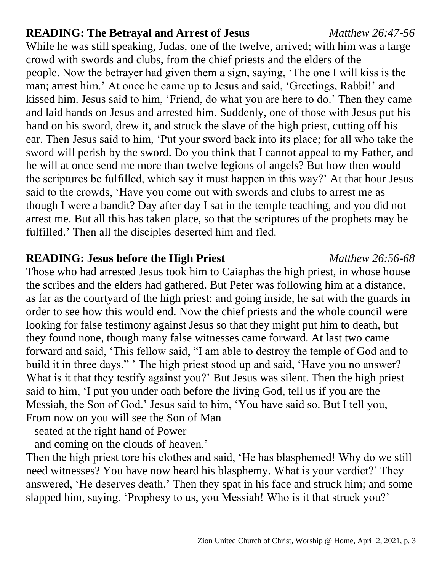# **READING: The Betrayal and Arrest of Jesus** *Matthew 26:47-56*

While he was still speaking, Judas, one of the twelve, arrived; with him was a large crowd with swords and clubs, from the chief priests and the elders of the people. Now the betrayer had given them a sign, saying, 'The one I will kiss is the man; arrest him.' At once he came up to Jesus and said, 'Greetings, Rabbi!' and kissed him. Jesus said to him, 'Friend, do what you are here to do.' Then they came and laid hands on Jesus and arrested him. Suddenly, one of those with Jesus put his hand on his sword, drew it, and struck the slave of the high priest, cutting off his ear. Then Jesus said to him, 'Put your sword back into its place; for all who take the sword will perish by the sword. Do you think that I cannot appeal to my Father, and he will at once send me more than twelve legions of angels? But how then would the scriptures be fulfilled, which say it must happen in this way?' At that hour Jesus said to the crowds, 'Have you come out with swords and clubs to arrest me as though I were a bandit? Day after day I sat in the temple teaching, and you did not arrest me. But all this has taken place, so that the scriptures of the prophets may be fulfilled.' Then all the disciples deserted him and fled.

# **READING: Jesus before the High Priest** *Matthew 26:56-68*

Those who had arrested Jesus took him to Caiaphas the high priest, in whose house the scribes and the elders had gathered. But Peter was following him at a distance, as far as the courtyard of the high priest; and going inside, he sat with the guards in order to see how this would end. Now the chief priests and the whole council were looking for false testimony against Jesus so that they might put him to death, but they found none, though many false witnesses came forward. At last two came forward and said, 'This fellow said, "I am able to destroy the temple of God and to build it in three days." ' The high priest stood up and said, 'Have you no answer? What is it that they testify against you?' But Jesus was silent. Then the high priest said to him, 'I put you under oath before the living God, tell us if you are the Messiah, the Son of God.' Jesus said to him, 'You have said so. But I tell you, From now on you will see the Son of Man

seated at the right hand of Power

and coming on the clouds of heaven.'

Then the high priest tore his clothes and said, 'He has blasphemed! Why do we still need witnesses? You have now heard his blasphemy. What is your verdict?' They answered, 'He deserves death.' Then they spat in his face and struck him; and some slapped him, saying, 'Prophesy to us, you Messiah! Who is it that struck you?'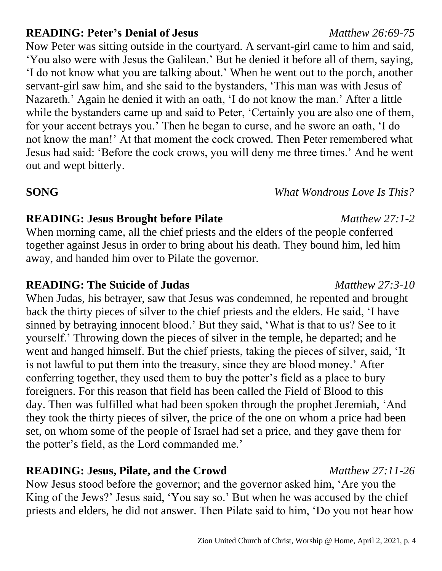### Zion United Church of Christ, Worship @ Home, April 2, 2021, p. 4

### **READING: Peter's Denial of Jesus** *Matthew 26:69-75*

Now Peter was sitting outside in the courtyard. A servant-girl came to him and said, 'You also were with Jesus the Galilean.' But he denied it before all of them, saying, 'I do not know what you are talking about.' When he went out to the porch, another servant-girl saw him, and she said to the bystanders, 'This man was with Jesus of Nazareth.' Again he denied it with an oath, 'I do not know the man.' After a little while the bystanders came up and said to Peter, 'Certainly you are also one of them, for your accent betrays you.' Then he began to curse, and he swore an oath, 'I do not know the man!' At that moment the cock crowed. Then Peter remembered what Jesus had said: 'Before the cock crows, you will deny me three times.' And he went out and wept bitterly.

# **SONG** *What Wondrous Love Is This?*

# **READING: Jesus Brought before Pilate** *Matthew 27:1-2*

When morning came, all the chief priests and the elders of the people conferred together against Jesus in order to bring about his death. They bound him, led him away, and handed him over to Pilate the governor.

# **READING: The Suicide of Judas** *Matthew 27:3-10*

When Judas, his betrayer, saw that Jesus was condemned, he repented and brought back the thirty pieces of silver to the chief priests and the elders. He said, 'I have sinned by betraying innocent blood.' But they said, 'What is that to us? See to it yourself.' Throwing down the pieces of silver in the temple, he departed; and he went and hanged himself. But the chief priests, taking the pieces of silver, said, 'It is not lawful to put them into the treasury, since they are blood money.' After conferring together, they used them to buy the potter's field as a place to bury foreigners. For this reason that field has been called the Field of Blood to this day. Then was fulfilled what had been spoken through the prophet Jeremiah, 'And they took the thirty pieces of silver, the price of the one on whom a price had been set, on whom some of the people of Israel had set a price, and they gave them for the potter's field, as the Lord commanded me.'

# **READING: Jesus, Pilate, and the Crowd** *Matthew 27:11-26*

Now Jesus stood before the governor; and the governor asked him, 'Are you the King of the Jews?' Jesus said, 'You say so.' But when he was accused by the chief priests and elders, he did not answer. Then Pilate said to him, 'Do you not hear how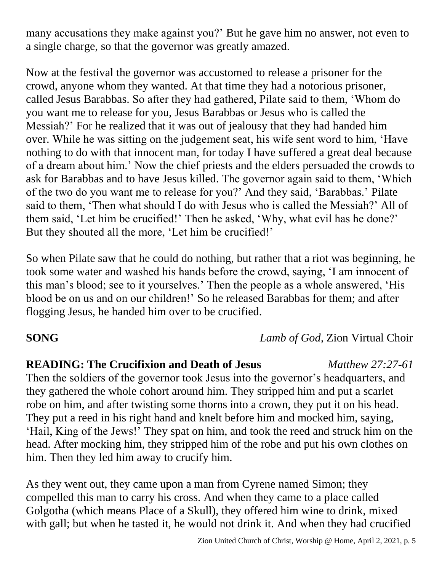many accusations they make against you?' But he gave him no answer, not even to a single charge, so that the governor was greatly amazed.

Now at the festival the governor was accustomed to release a prisoner for the crowd, anyone whom they wanted. At that time they had a notorious prisoner, called Jesus Barabbas. So after they had gathered, Pilate said to them, 'Whom do you want me to release for you, Jesus Barabbas or Jesus who is called the Messiah?' For he realized that it was out of jealousy that they had handed him over. While he was sitting on the judgement seat, his wife sent word to him, 'Have nothing to do with that innocent man, for today I have suffered a great deal because of a dream about him.' Now the chief priests and the elders persuaded the crowds to ask for Barabbas and to have Jesus killed. The governor again said to them, 'Which of the two do you want me to release for you?' And they said, 'Barabbas.' Pilate said to them, 'Then what should I do with Jesus who is called the Messiah?' All of them said, 'Let him be crucified!' Then he asked, 'Why, what evil has he done?' But they shouted all the more, 'Let him be crucified!'

So when Pilate saw that he could do nothing, but rather that a riot was beginning, he took some water and washed his hands before the crowd, saying, 'I am innocent of this man's blood; see to it yourselves.' Then the people as a whole answered, 'His blood be on us and on our children!' So he released Barabbas for them; and after flogging Jesus, he handed him over to be crucified.

**SONG** *Lamb of God,* Zion Virtual Choir

# **READING: The Crucifixion and Death of Jesus** *Matthew 27:27-61*

Then the soldiers of the governor took Jesus into the governor's headquarters, and they gathered the whole cohort around him. They stripped him and put a scarlet robe on him, and after twisting some thorns into a crown, they put it on his head. They put a reed in his right hand and knelt before him and mocked him, saying, 'Hail, King of the Jews!' They spat on him, and took the reed and struck him on the head. After mocking him, they stripped him of the robe and put his own clothes on him. Then they led him away to crucify him.

As they went out, they came upon a man from Cyrene named Simon; they compelled this man to carry his cross. And when they came to a place called Golgotha (which means Place of a Skull), they offered him wine to drink, mixed with gall; but when he tasted it, he would not drink it. And when they had crucified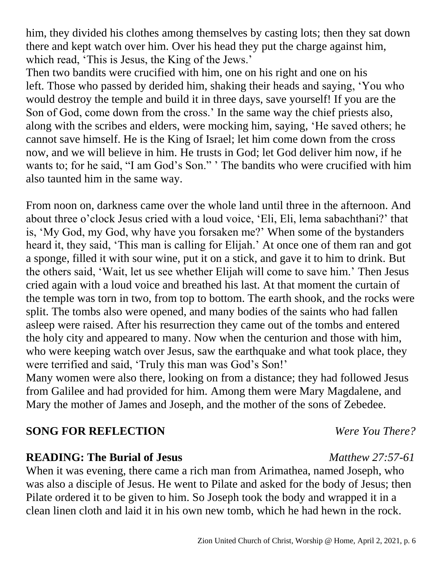him, they divided his clothes among themselves by casting lots; then they sat down there and kept watch over him. Over his head they put the charge against him, which read, 'This is Jesus, the King of the Jews.'

Then two bandits were crucified with him, one on his right and one on his left. Those who passed by derided him, shaking their heads and saying, 'You who would destroy the temple and build it in three days, save yourself! If you are the Son of God, come down from the cross.' In the same way the chief priests also, along with the scribes and elders, were mocking him, saying, 'He saved others; he cannot save himself. He is the King of Israel; let him come down from the cross now, and we will believe in him. He trusts in God; let God deliver him now, if he wants to; for he said, "I am God's Son." ' The bandits who were crucified with him also taunted him in the same way.

From noon on, darkness came over the whole land until three in the afternoon. And about three o'clock Jesus cried with a loud voice, 'Eli, Eli, lema sabachthani?' that is, 'My God, my God, why have you forsaken me?' When some of the bystanders heard it, they said, 'This man is calling for Elijah.' At once one of them ran and got a sponge, filled it with sour wine, put it on a stick, and gave it to him to drink. But the others said, 'Wait, let us see whether Elijah will come to save him.' Then Jesus cried again with a loud voice and breathed his last. At that moment the curtain of the temple was torn in two, from top to bottom. The earth shook, and the rocks were split. The tombs also were opened, and many bodies of the saints who had fallen asleep were raised. After his resurrection they came out of the tombs and entered the holy city and appeared to many. Now when the centurion and those with him, who were keeping watch over Jesus, saw the earthquake and what took place, they were terrified and said, 'Truly this man was God's Son!'

Many women were also there, looking on from a distance; they had followed Jesus from Galilee and had provided for him. Among them were Mary Magdalene, and Mary the mother of James and Joseph, and the mother of the sons of Zebedee.

# **SONG FOR REFLECTION** *Were You There?*

# **READING: The Burial of Jesus** *Matthew 27:57-61*

When it was evening, there came a rich man from Arimathea, named Joseph, who was also a disciple of Jesus. He went to Pilate and asked for the body of Jesus; then Pilate ordered it to be given to him. So Joseph took the body and wrapped it in a clean linen cloth and laid it in his own new tomb, which he had hewn in the rock.